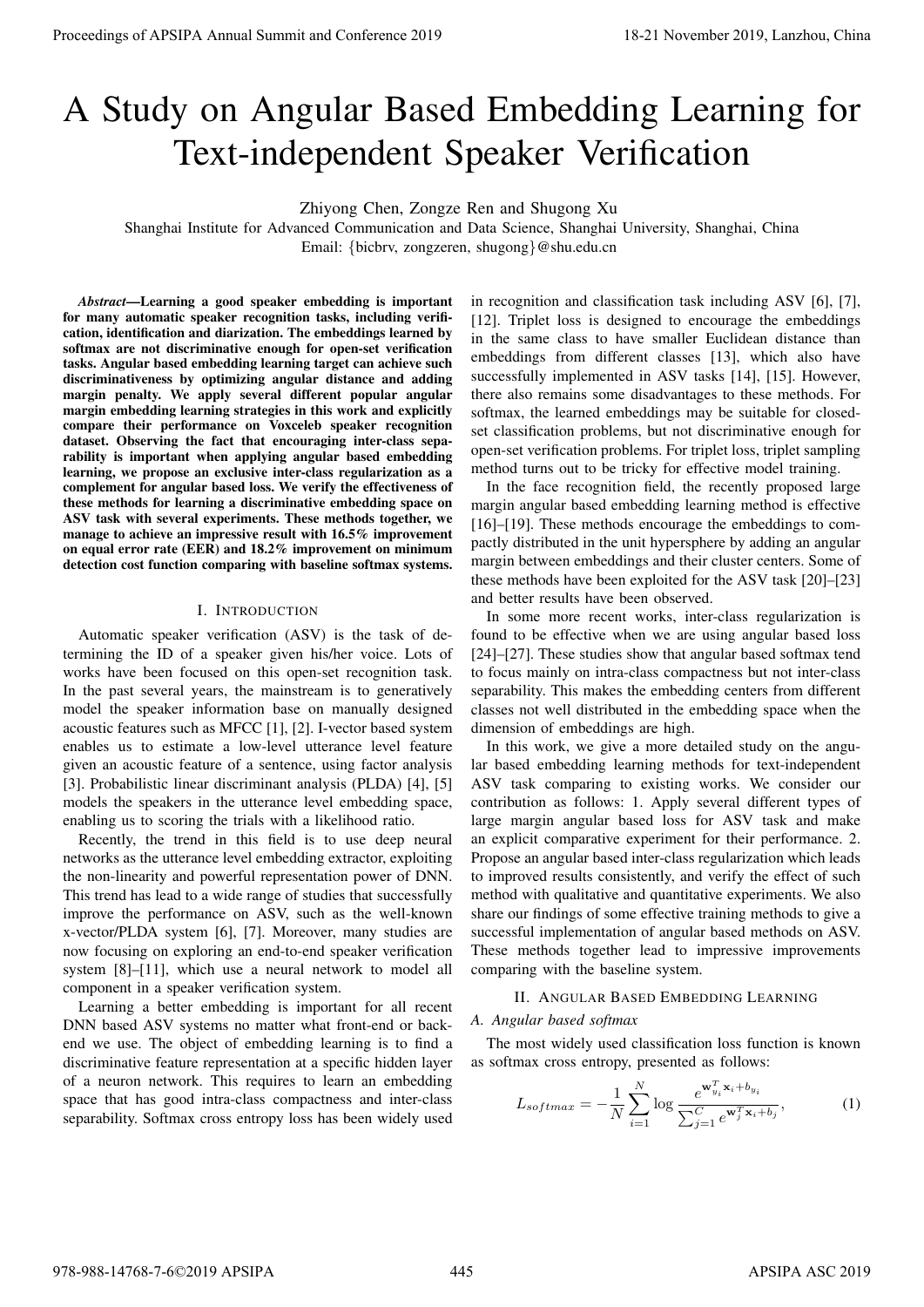# A Study on Angular Based Embedding Learning for Text-independent Speaker Verification

Zhiyong Chen, Zongze Ren and Shugong Xu

Shanghai Institute for Advanced Communication and Data Science, Shanghai University, Shanghai, China Email: {bicbrv, zongzeren, shugong}@shu.edu.cn

*Abstract*—Learning a good speaker embedding is important for many automatic speaker recognition tasks, including verification, identification and diarization. The embeddings learned by softmax are not discriminative enough for open-set verification tasks. Angular based embedding learning target can achieve such discriminativeness by optimizing angular distance and adding margin penalty. We apply several different popular angular margin embedding learning strategies in this work and explicitly compare their performance on Voxceleb speaker recognition dataset. Observing the fact that encouraging inter-class separability is important when applying angular based embedding learning, we propose an exclusive inter-class regularization as a complement for angular based loss. We verify the effectiveness of these methods for learning a discriminative embedding space on ASV task with several experiments. These methods together, we manage to achieve an impressive result with 16.5% improvement on equal error rate (EER) and 18.2% improvement on minimum detection cost function comparing with baseline softmax systems. **Proceedings of APSIPA Annual Summit and Conference 2019**<br> **A Study on Angual and Excelse and Conference 2019**<br> **A Study on Angual and Conference 2019**<br> **A Study on Angual and Conference 2019**<br> **A** Study on Angual and Con

## I. INTRODUCTION

Automatic speaker verification (ASV) is the task of determining the ID of a speaker given his/her voice. Lots of works have been focused on this open-set recognition task. In the past several years, the mainstream is to generatively model the speaker information base on manually designed acoustic features such as MFCC [1], [2]. I-vector based system enables us to estimate a low-level utterance level feature given an acoustic feature of a sentence, using factor analysis [3]. Probabilistic linear discriminant analysis (PLDA) [4], [5] models the speakers in the utterance level embedding space, enabling us to scoring the trials with a likelihood ratio.

Recently, the trend in this field is to use deep neural networks as the utterance level embedding extractor, exploiting the non-linearity and powerful representation power of DNN. This trend has lead to a wide range of studies that successfully improve the performance on ASV, such as the well-known x-vector/PLDA system [6], [7]. Moreover, many studies are now focusing on exploring an end-to-end speaker verification system [8]–[11], which use a neural network to model all component in a speaker verification system.

Learning a better embedding is important for all recent DNN based ASV systems no matter what front-end or backend we use. The object of embedding learning is to find a discriminative feature representation at a specific hidden layer of a neuron network. This requires to learn an embedding space that has good intra-class compactness and inter-class separability. Softmax cross entropy loss has been widely used

in recognition and classification task including ASV [6], [7], [12]. Triplet loss is designed to encourage the embeddings in the same class to have smaller Euclidean distance than embeddings from different classes [13], which also have successfully implemented in ASV tasks [14], [15]. However, there also remains some disadvantages to these methods. For softmax, the learned embeddings may be suitable for closedset classification problems, but not discriminative enough for open-set verification problems. For triplet loss, triplet sampling method turns out to be tricky for effective model training.

In the face recognition field, the recently proposed large margin angular based embedding learning method is effective [16]–[19]. These methods encourage the embeddings to compactly distributed in the unit hypersphere by adding an angular margin between embeddings and their cluster centers. Some of these methods have been exploited for the ASV task [20]–[23] and better results have been observed.

In some more recent works, inter-class regularization is found to be effective when we are using angular based loss [24]–[27]. These studies show that angular based softmax tend to focus mainly on intra-class compactness but not inter-class separability. This makes the embedding centers from different classes not well distributed in the embedding space when the dimension of embeddings are high.

In this work, we give a more detailed study on the angular based embedding learning methods for text-independent ASV task comparing to existing works. We consider our contribution as follows: 1. Apply several different types of large margin angular based loss for ASV task and make an explicit comparative experiment for their performance. 2. Propose an angular based inter-class regularization which leads to improved results consistently, and verify the effect of such method with qualitative and quantitative experiments. We also share our findings of some effective training methods to give a successful implementation of angular based methods on ASV. These methods together lead to impressive improvements comparing with the baseline system.

# II. ANGULAR BASED EMBEDDING LEARNING

#### *A. Angular based softmax*

The most widely used classification loss function is known as softmax cross entropy, presented as follows:

$$
L_{softmax} = -\frac{1}{N} \sum_{i=1}^{N} \log \frac{e^{\mathbf{w}_{y_i}^T \mathbf{x}_i + b_{y_i}}}{\sum_{j=1}^{C} e^{\mathbf{w}_j^T \mathbf{x}_i + b_j}},
$$
(1)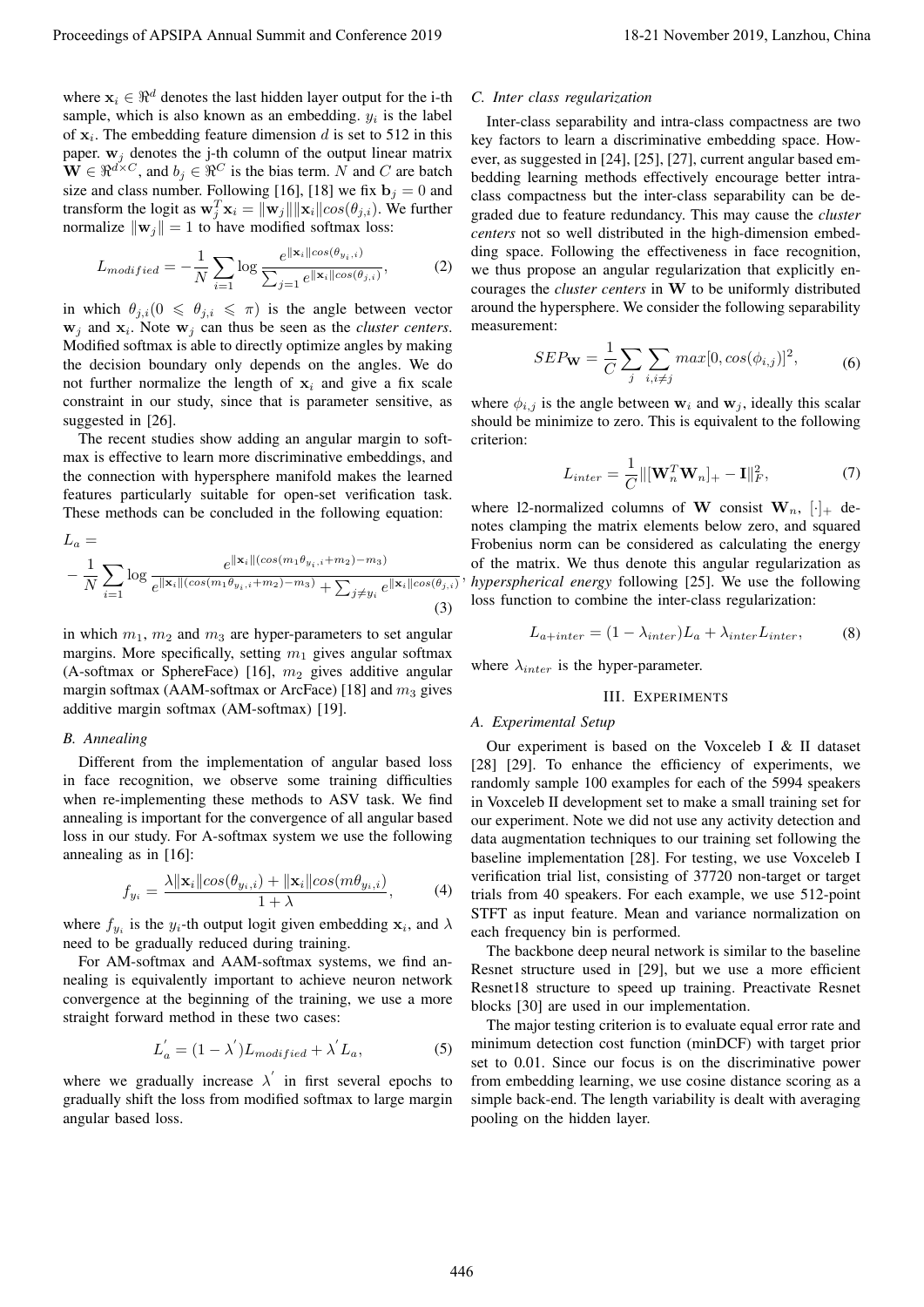where  $x_i \in \Re^d$  denotes the last hidden layer output for the i-th sample, which is also known as an embedding.  $y_i$  is the label of  $x_i$ . The embedding feature dimension d is set to 512 in this paper.  $w_i$  denotes the j-th column of the output linear matrix  $\mathbf{W} \in \mathbb{R}^{d \times C}$ , and  $b_j \in \mathbb{R}^C$  is the bias term. N and C are batch size and class number. Following [16], [18] we fix  $\mathbf{b}_j = 0$  and transform the logit as  $\mathbf{w}_j^T \mathbf{x}_i = ||\mathbf{w}_j|| ||\mathbf{x}_i|| cos(\theta_{j,i})$ . We further normalize  $\|\mathbf{w}_j\| = 1$  to have modified softmax loss:

$$
L_{modified} = -\frac{1}{N} \sum_{i=1}^N \log \frac{e^{\|\mathbf{x}_i\| \cos(\theta_{y_i, i})}}{\sum_{j=1}^N e^{\|\mathbf{x}_i\| \cos(\theta_{j, i})}},
$$
(2)

in which  $\theta_{j,i}$  ( $0 \le \theta_{j,i} \le \pi$ ) is the angle between vector  $w_j$  and  $x_i$ . Note  $w_j$  can thus be seen as the *cluster centers*. Modified softmax is able to directly optimize angles by making the decision boundary only depends on the angles. We do not further normalize the length of  $x_i$  and give a fix scale constraint in our study, since that is parameter sensitive, as suggested in [26].

The recent studies show adding an angular margin to softmax is effective to learn more discriminative embeddings, and the connection with hypersphere manifold makes the learned features particularly suitable for open-set verification task. These methods can be concluded in the following equation:

$$
L_a = -\frac{1}{N} \sum_{i=1}^{\infty} \log \frac{e^{\|\mathbf{x}_i\|(\cos(m_1\theta_{y_i,i} + m_2) - m_3)}}{e^{\|\mathbf{x}_i\|(\cos(m_1\theta_{y_i,i} + m_2) - m_3)} + \sum_{j \neq y_i} e^{\|\mathbf{x}_i\| \cos(\theta_{j,i})}}
$$
(3)

in which  $m_1$ ,  $m_2$  and  $m_3$  are hyper-parameters to set angular margins. More specifically, setting  $m_1$  gives angular softmax (A-softmax or SphereFace) [16],  $m_2$  gives additive angular margin softmax (AAM-softmax or ArcFace) [18] and  $m_3$  gives additive margin softmax (AM-softmax) [19].

## *B. Annealing*

Different from the implementation of angular based loss in face recognition, we observe some training difficulties when re-implementing these methods to ASV task. We find annealing is important for the convergence of all angular based loss in our study. For A-softmax system we use the following annealing as in [16]:

$$
f_{y_i} = \frac{\lambda \|\mathbf{x}_i\| \cos(\theta_{y_i, i}) + \|\mathbf{x}_i\| \cos(m\theta_{y_i, i})}{1 + \lambda}, \tag{4}
$$

where  $f_{y_i}$  is the  $y_i$ -th output logit given embedding  $x_i$ , and  $\lambda$ need to be gradually reduced during training.

For AM-softmax and AAM-softmax systems, we find annealing is equivalently important to achieve neuron network convergence at the beginning of the training, we use a more straight forward method in these two cases:

$$
L_a^{'} = (1 - \lambda^{'}) L_{modified} + \lambda^{'} L_a,
$$
\n(5)

where we gradually increase  $\lambda'$  in first several epochs to gradually shift the loss from modified softmax to large margin angular based loss.

## *C. Inter class regularization*

Inter-class separability and intra-class compactness are two key factors to learn a discriminative embedding space. However, as suggested in [24], [25], [27], current angular based embedding learning methods effectively encourage better intraclass compactness but the inter-class separability can be degraded due to feature redundancy. This may cause the *cluster centers* not so well distributed in the high-dimension embedding space. Following the effectiveness in face recognition, we thus propose an angular regularization that explicitly encourages the *cluster centers* in W to be uniformly distributed around the hypersphere. We consider the following separability measurement: Proceedings of APSIPA Annual Summit and Conference 2019.<br>
where  $x_1 \ge 0$  the results of the results of the results of the results of the results of the results of the results of the results of the results of the results

$$
SEP_{\mathbf{W}} = \frac{1}{C} \sum_{j} \sum_{i,i \neq j} max[0, cos(\phi_{i,j})]^{2}, \tag{6}
$$

where  $\phi_{i,j}$  is the angle between  $w_i$  and  $w_j$ , ideally this scalar should be minimize to zero. This is equivalent to the following criterion:

$$
L_{inter} = \frac{1}{C} \left\| \left[ \mathbf{W}_n^T \mathbf{W}_n \right]_+ - \mathbf{I} \right\|_F^2, \tag{7}
$$

, *hyperspherical energy* following [25]. We use the following where 12-normalized columns of W consist  $W_n$ ,  $[\cdot]_+$  denotes clamping the matrix elements below zero, and squared Frobenius norm can be considered as calculating the energy of the matrix. We thus denote this angular regularization as loss function to combine the inter-class regularization:

$$
L_{a+inter} = (1 - \lambda_{inter})L_a + \lambda_{inter}L_{inter}, \qquad (8)
$$

where  $\lambda_{inter}$  is the hyper-parameter.

#### III. EXPERIMENTS

# *A. Experimental Setup*

Our experiment is based on the Voxceleb I & II dataset [28] [29]. To enhance the efficiency of experiments, we randomly sample 100 examples for each of the 5994 speakers in Voxceleb II development set to make a small training set for our experiment. Note we did not use any activity detection and data augmentation techniques to our training set following the baseline implementation [28]. For testing, we use Voxceleb I verification trial list, consisting of 37720 non-target or target trials from 40 speakers. For each example, we use 512-point STFT as input feature. Mean and variance normalization on each frequency bin is performed.

The backbone deep neural network is similar to the baseline Resnet structure used in [29], but we use a more efficient Resnet18 structure to speed up training. Preactivate Resnet blocks [30] are used in our implementation.

The major testing criterion is to evaluate equal error rate and minimum detection cost function (minDCF) with target prior set to 0.01. Since our focus is on the discriminative power from embedding learning, we use cosine distance scoring as a simple back-end. The length variability is dealt with averaging pooling on the hidden layer.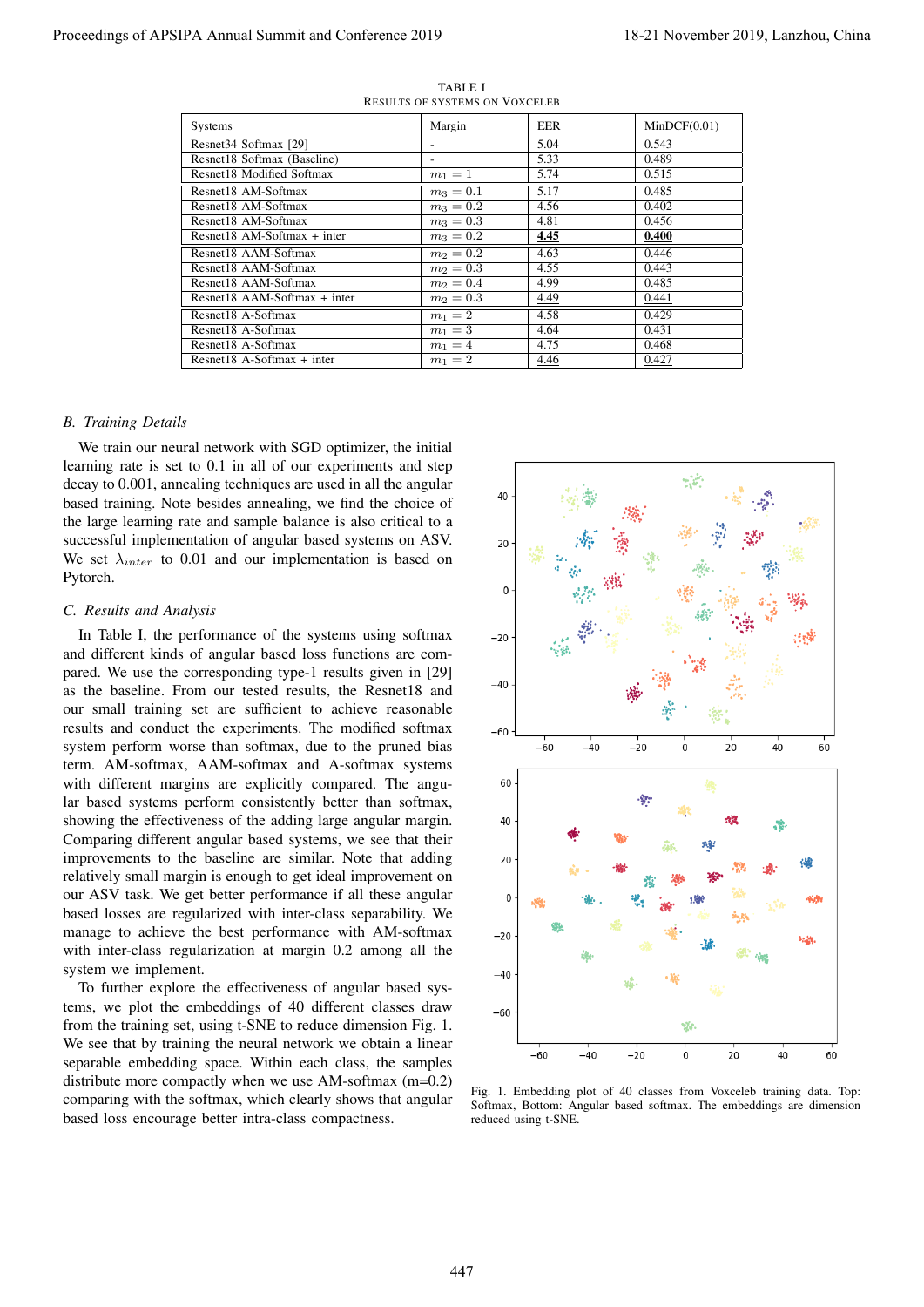| Systems                        | Margin      | EER  | MinDCF(0.01) |
|--------------------------------|-------------|------|--------------|
| Resnet34 Softmax [29]          |             | 5.04 | 0.543        |
| Resnet18 Softmax (Baseline)    |             | 5.33 | 0.489        |
| Resnet18 Modified Softmax      | $m_1 = 1$   | 5.74 | 0.515        |
| Resnet18 AM-Softmax            | $m_3 = 0.1$ | 5.17 | 0.485        |
| Resnet18 AM-Softmax            | $m_3 = 0.2$ | 4.56 | 0.402        |
| Resnet18 AM-Softmax            | $m_3 = 0.3$ | 4.81 | 0.456        |
| $Resnet18 AM-Softmax + inter$  | $m_3 = 0.2$ | 4.45 | 0.400        |
| Resnet18 AAM-Softmax           | $m_2 = 0.2$ | 4.63 | 0.446        |
| Resnet18 AAM-Softmax           | $m_2 = 0.3$ | 4.55 | 0.443        |
| Resnet18 AAM-Softmax           | $m_2 = 0.4$ | 4.99 | 0.485        |
| Resnet18 AAM-Softmax $+$ inter | $m_2 = 0.3$ | 4.49 | 0.441        |
| Resnet18 A-Softmax             | $m_1 = 2$   | 4.58 | 0.429        |
| Resnet18 A-Softmax             | $m_1 = 3$   | 4.64 | 0.431        |
| Resnet18 A-Softmax             | $m_1 = 4$   | 4.75 | 0.468        |
| Resnet18 A-Softmax $+$ inter   | $m_1 = 2$   | 4.46 | 0.427        |

TABLE I RESULTS OF SYSTEMS ON VOXCELEB

## *B. Training Details*

We train our neural network with SGD optimizer, the initial learning rate is set to 0.1 in all of our experiments and step decay to 0.001, annealing techniques are used in all the angular based training. Note besides annealing, we find the choice of the large learning rate and sample balance is also critical to a successful implementation of angular based systems on ASV. We set  $\lambda_{inter}$  to 0.01 and our implementation is based on Pytorch.

#### *C. Results and Analysis*

In Table I, the performance of the systems using softmax and different kinds of angular based loss functions are compared. We use the corresponding type-1 results given in [29] as the baseline. From our tested results, the Resnet18 and our small training set are sufficient to achieve reasonable results and conduct the experiments. The modified softmax system perform worse than softmax, due to the pruned bias term. AM-softmax, AAM-softmax and A-softmax systems with different margins are explicitly compared. The angular based systems perform consistently better than softmax, showing the effectiveness of the adding large angular margin. Comparing different angular based systems, we see that their improvements to the baseline are similar. Note that adding relatively small margin is enough to get ideal improvement on our ASV task. We get better performance if all these angular based losses are regularized with inter-class separability. We manage to achieve the best performance with AM-softmax with inter-class regularization at margin 0.2 among all the system we implement.

To further explore the effectiveness of angular based systems, we plot the embeddings of 40 different classes draw from the training set, using t-SNE to reduce dimension Fig. 1. We see that by training the neural network we obtain a linear separable embedding space. Within each class, the samples distribute more compactly when we use AM-softmax (m=0.2) comparing with the softmax, which clearly shows that angular based loss encourage better intra-class compactness.



Fig. 1. Embedding plot of 40 classes from Voxceleb training data. Top: Softmax, Bottom: Angular based softmax. The embeddings are dimension reduced using t-SNE.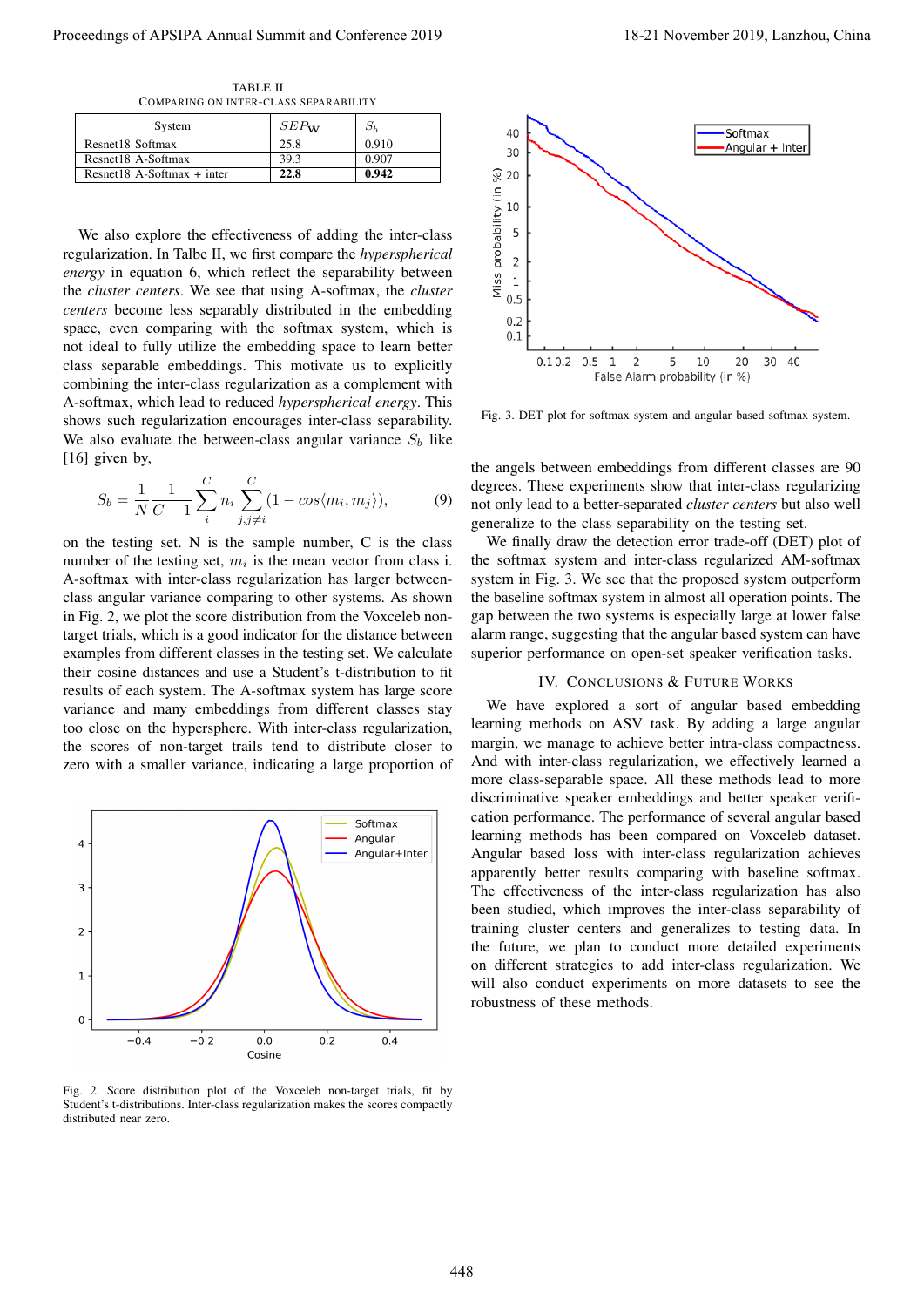TABLE II COMPARING ON INTER-CLASS SEPARABILITY

| System                       | $SEP_{\mathbf{W}}$ | $S_h$ |
|------------------------------|--------------------|-------|
| Resnet18 Softmax             | 25.8               | 0.910 |
| Resnet18 A-Softmax           | 39.3               | 0.907 |
| Resnet18 A-Softmax $+$ inter | 22.8               | 0.942 |

We also explore the effectiveness of adding the inter-class regularization. In Talbe II, we first compare the *hyperspherical energy* in equation 6, which reflect the separability between the *cluster centers*. We see that using A-softmax, the *cluster centers* become less separably distributed in the embedding space, even comparing with the softmax system, which is not ideal to fully utilize the embedding space to learn better class separable embeddings. This motivate us to explicitly combining the inter-class regularization as a complement with A-softmax, which lead to reduced *hyperspherical energy*. This shows such regularization encourages inter-class separability. We also evaluate the between-class angular variance  $S_b$  like [16] given by,

$$
S_b = \frac{1}{N} \frac{1}{C - 1} \sum_{i}^{C} n_i \sum_{j, j \neq i}^{C} (1 - \cos(m_i, m_j)),
$$
 (9)

on the testing set. N is the sample number, C is the class number of the testing set,  $m_i$  is the mean vector from class i. A-softmax with inter-class regularization has larger betweenclass angular variance comparing to other systems. As shown in Fig. 2, we plot the score distribution from the Voxceleb nontarget trials, which is a good indicator for the distance between examples from different classes in the testing set. We calculate their cosine distances and use a Student's t-distribution to fit results of each system. The A-softmax system has large score variance and many embeddings from different classes stay too close on the hypersphere. With inter-class regularization, the scores of non-target trails tend to distribute closer to zero with a smaller variance, indicating a large proportion of



Fig. 2. Score distribution plot of the Voxceleb non-target trials, fit by Student's t-distributions. Inter-class regularization makes the scores compactly distributed near zero.



Fig. 3. DET plot for softmax system and angular based softmax system.

the angels between embeddings from different classes are 90 degrees. These experiments show that inter-class regularizing not only lead to a better-separated *cluster centers* but also well generalize to the class separability on the testing set.

We finally draw the detection error trade-off (DET) plot of the softmax system and inter-class regularized AM-softmax system in Fig. 3. We see that the proposed system outperform the baseline softmax system in almost all operation points. The gap between the two systems is especially large at lower false alarm range, suggesting that the angular based system can have superior performance on open-set speaker verification tasks.

# IV. CONCLUSIONS & FUTURE WORKS

We have explored a sort of angular based embedding learning methods on ASV task. By adding a large angular margin, we manage to achieve better intra-class compactness. And with inter-class regularization, we effectively learned a more class-separable space. All these methods lead to more discriminative speaker embeddings and better speaker verification performance. The performance of several angular based learning methods has been compared on Voxceleb dataset. Angular based loss with inter-class regularization achieves apparently better results comparing with baseline softmax. The effectiveness of the inter-class regularization has also been studied, which improves the inter-class separability of training cluster centers and generalizes to testing data. In the future, we plan to conduct more detailed experiments on different strategies to add inter-class regularization. We will also conduct experiments on more datasets to see the robustness of these methods. Proceeding of APSIPA Annual Summit and Conference 2019<br>
Proceedings of APSIPA Annual Summit and Conference 2019<br>
The Conference 2019 18-21 November 2019<br>
November 2019 18-21 November 2019<br>
November 2019 18-21 November 201